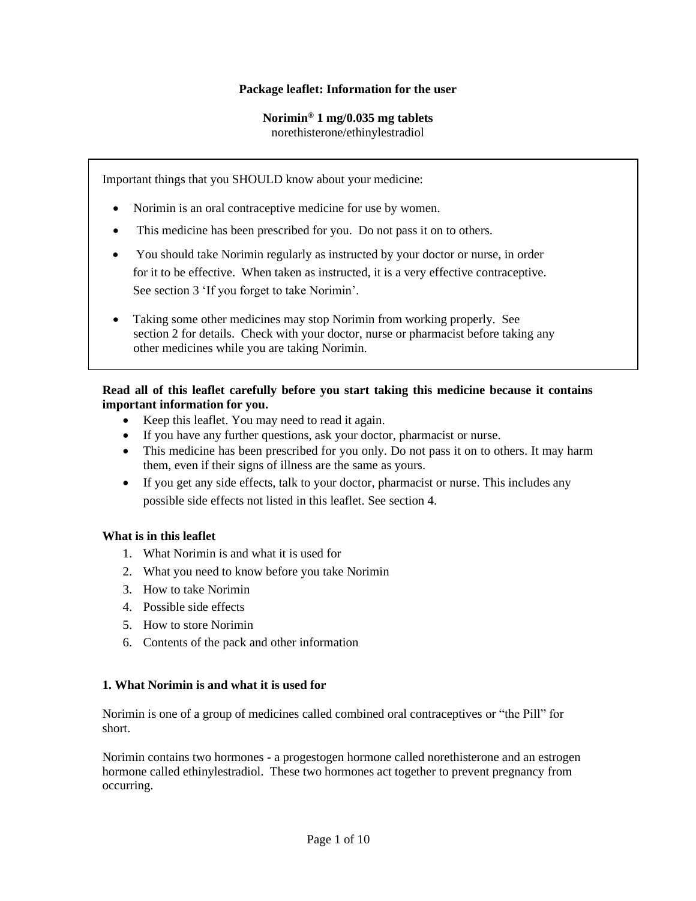### **Package leaflet: Information for the user**

# **Norimin® 1 mg/0.035 mg tablets**

norethisterone/ethinylestradiol

Important things that you SHOULD know about your medicine:

- Norimin is an oral contraceptive medicine for use by women.
- This medicine has been prescribed for you. Do not pass it on to others.
- You should take Norimin regularly as instructed by your doctor or nurse, in order for it to be effective. When taken as instructed, it is a very effective contraceptive. See section 3 'If you forget to take Norimin'.
- Taking some other medicines may stop Norimin from working properly. See section 2 for details. Check with your doctor, nurse or pharmacist before taking any other medicines while you are taking Norimin.

### **Read all of this leaflet carefully before you start taking this medicine because it contains important information for you.**

- Keep this leaflet. You may need to read it again.
- If you have any further questions, ask your doctor, pharmacist or nurse.
- This medicine has been prescribed for you only. Do not pass it on to others. It may harm them, even if their signs of illness are the same as yours.
- If you get any side effects, talk to your doctor, pharmacist or nurse. This includes any possible side effects not listed in this leaflet. See section 4.

#### **What is in this leaflet**

- 1. What Norimin is and what it is used for
- 2. What you need to know before you take Norimin
- 3. How to take Norimin
- 4. Possible side effects
- 5. How to store Norimin
- 6. Contents of the pack and other information

#### **1. What Norimin is and what it is used for**

Norimin is one of a group of medicines called combined oral contraceptives or "the Pill" for short.

Norimin contains two hormones - a progestogen hormone called norethisterone and an estrogen hormone called ethinylestradiol. These two hormones act together to prevent pregnancy from occurring.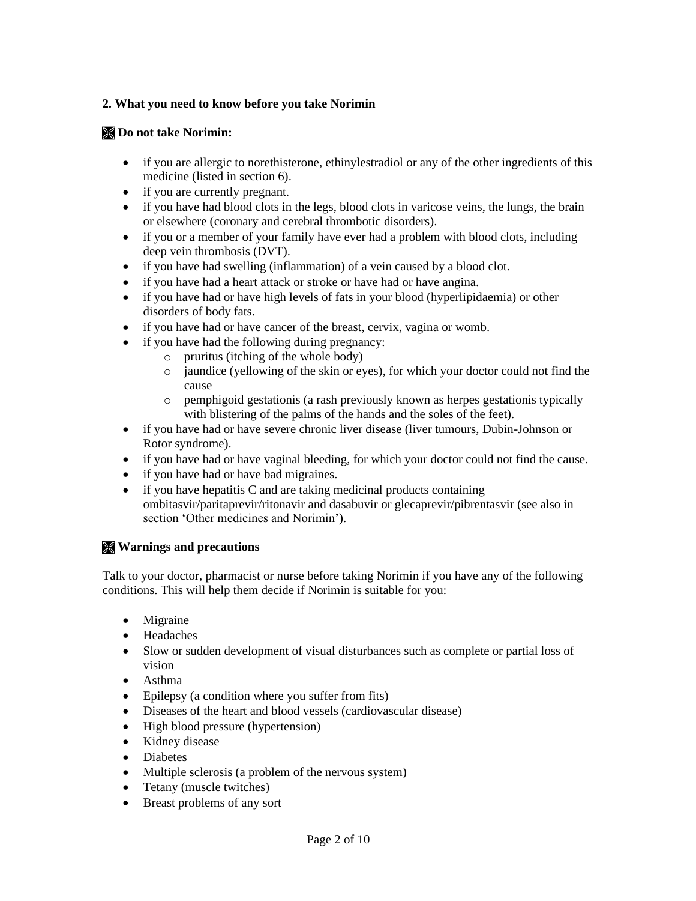# **2. What you need to know before you take Norimin**

# **Do not take Norimin:**

- if you are allergic to norethisterone, ethinylestradiol or any of the other ingredients of this medicine (listed in section 6).
- if you are currently pregnant.
- if you have had blood clots in the legs, blood clots in varicose veins, the lungs, the brain or elsewhere (coronary and cerebral thrombotic disorders).
- if you or a member of your family have ever had a problem with blood clots, including deep vein thrombosis (DVT).
- if you have had swelling (inflammation) of a vein caused by a blood clot.
- if you have had a heart attack or stroke or have had or have angina.
- if you have had or have high levels of fats in your blood (hyperlipidaemia) or other disorders of body fats.
- if you have had or have cancer of the breast, cervix, vagina or womb.
- if you have had the following during pregnancy:
	- o pruritus (itching of the whole body)
	- $\circ$  jaundice (yellowing of the skin or eyes), for which your doctor could not find the cause
	- o pemphigoid gestationis (a rash previously known as herpes gestationis typically with blistering of the palms of the hands and the soles of the feet).
- if you have had or have severe chronic liver disease (liver tumours, Dubin-Johnson or Rotor syndrome).
- if you have had or have vaginal bleeding, for which your doctor could not find the cause.
- if you have had or have bad migraines.
- if you have hepatitis C and are taking medicinal products containing ombitasvir/paritaprevir/ritonavir and dasabuvir or glecaprevir/pibrentasvir (see also in section 'Other medicines and Norimin').

# **Warnings and precautions**

Talk to your doctor, pharmacist or nurse before taking Norimin if you have any of the following conditions. This will help them decide if Norimin is suitable for you:

- Migraine
- Headaches
- Slow or sudden development of visual disturbances such as complete or partial loss of vision
- Asthma
- Epilepsy (a condition where you suffer from fits)
- Diseases of the heart and blood vessels (cardiovascular disease)
- High blood pressure (hypertension)
- Kidney disease
- Diabetes
- Multiple sclerosis (a problem of the nervous system)
- Tetany (muscle twitches)
- Breast problems of any sort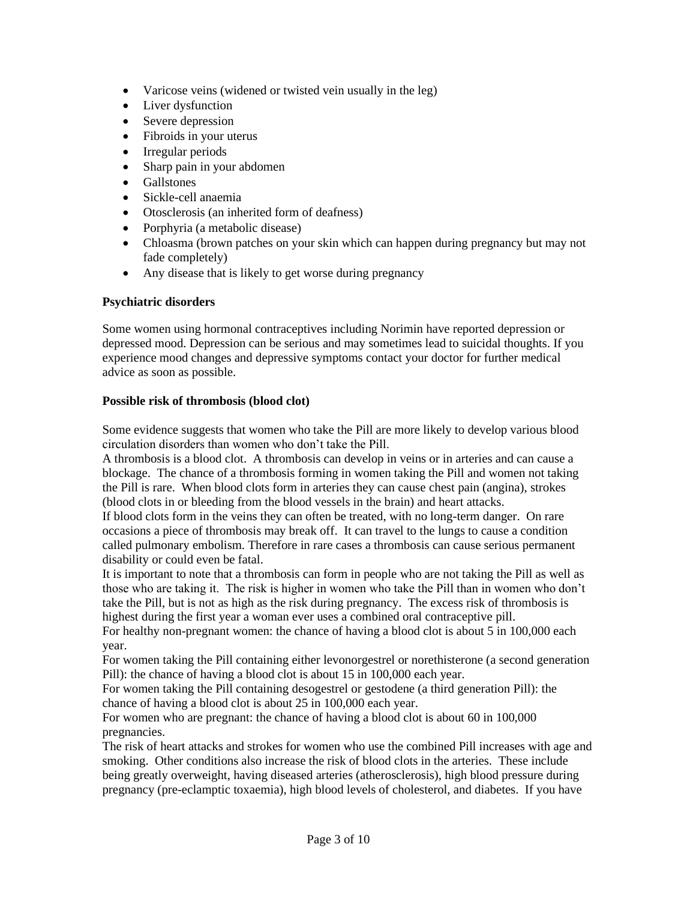- Varicose veins (widened or twisted vein usually in the leg)
- Liver dysfunction
- Severe depression
- Fibroids in your uterus
- Irregular periods
- Sharp pain in your abdomen
- Gallstones
- Sickle-cell anaemia
- Otosclerosis (an inherited form of deafness)
- Porphyria (a metabolic disease)
- Chloasma (brown patches on your skin which can happen during pregnancy but may not fade completely)
- Any disease that is likely to get worse during pregnancy

# **Psychiatric disorders**

Some women using hormonal contraceptives including Norimin have reported depression or depressed mood. Depression can be serious and may sometimes lead to suicidal thoughts. If you experience mood changes and depressive symptoms contact your doctor for further medical advice as soon as possible.

# **Possible risk of thrombosis (blood clot)**

Some evidence suggests that women who take the Pill are more likely to develop various blood circulation disorders than women who don't take the Pill.

A thrombosis is a blood clot. A thrombosis can develop in veins or in arteries and can cause a blockage. The chance of a thrombosis forming in women taking the Pill and women not taking the Pill is rare. When blood clots form in arteries they can cause chest pain (angina), strokes (blood clots in or bleeding from the blood vessels in the brain) and heart attacks.

If blood clots form in the veins they can often be treated, with no long-term danger. On rare occasions a piece of thrombosis may break off. It can travel to the lungs to cause a condition called pulmonary embolism. Therefore in rare cases a thrombosis can cause serious permanent disability or could even be fatal.

It is important to note that a thrombosis can form in people who are not taking the Pill as well as those who are taking it. The risk is higher in women who take the Pill than in women who don't take the Pill, but is not as high as the risk during pregnancy. The excess risk of thrombosis is highest during the first year a woman ever uses a combined oral contraceptive pill.

For healthy non-pregnant women: the chance of having a blood clot is about 5 in 100,000 each year.

For women taking the Pill containing either levonorgestrel or norethisterone (a second generation Pill): the chance of having a blood clot is about 15 in 100,000 each year.

For women taking the Pill containing desogestrel or gestodene (a third generation Pill): the chance of having a blood clot is about 25 in 100,000 each year.

For women who are pregnant: the chance of having a blood clot is about 60 in 100,000 pregnancies.

The risk of heart attacks and strokes for women who use the combined Pill increases with age and smoking. Other conditions also increase the risk of blood clots in the arteries. These include being greatly overweight, having diseased arteries (atherosclerosis), high blood pressure during pregnancy (pre-eclamptic toxaemia), high blood levels of cholesterol, and diabetes. If you have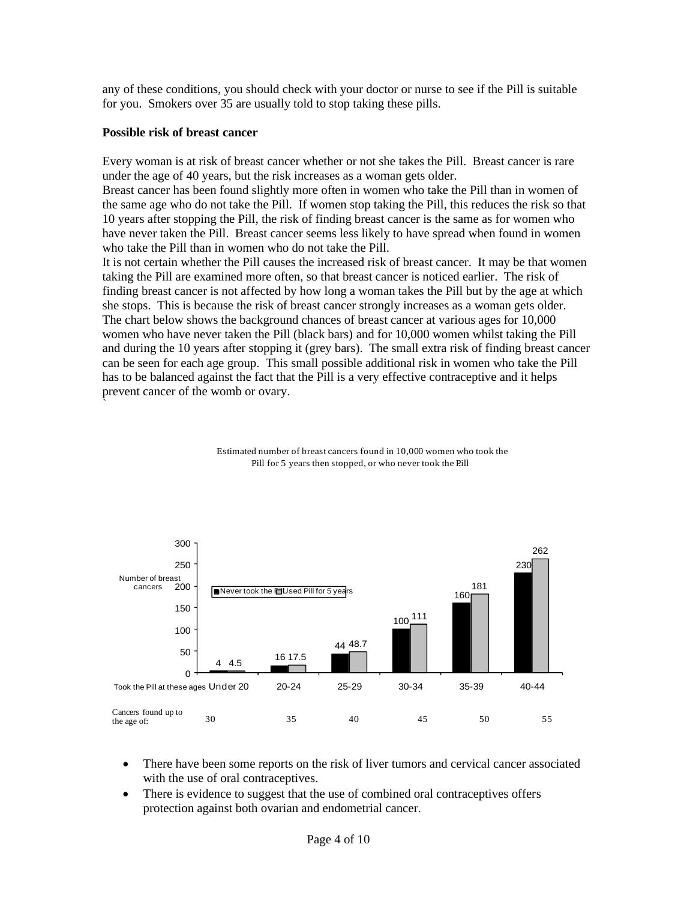any of these conditions, you should check with your doctor or nurse to see if the Pill is suitable for you. Smokers over 35 are usually told to stop taking these pills.

#### **Possible risk of breast cancer**

 $\ddot{\,}$ 

Every woman is at risk of breast cancer whether or not she takes the Pill. Breast cancer is rare under the age of 40 years, but the risk increases as a woman gets older.

Breast cancer has been found slightly more often in women who take the Pill than in women of the same age who do not take the Pill. If women stop taking the Pill, this reduces the risk so that 10 years after stopping the Pill, the risk of finding breast cancer is the same as for women who have never taken the Pill. Breast cancer seems less likely to have spread when found in women who take the Pill than in women who do not take the Pill.

It is not certain whether the Pill causes the increased risk of breast cancer. It may be that women taking the Pill are examined more often, so that breast cancer is noticed earlier. The risk of finding breast cancer is not affected by how long a woman takes the Pill but by the age at which she stops. This is because the risk of breast cancer strongly increases as a woman gets older. The chart below shows the background chances of breast cancer at various ages for 10,000 women who have never taken the Pill (black bars) and for 10,000 women whilst taking the Pill and during the 10 years after stopping it (grey bars). The small extra risk of finding breast cancer can be seen for each age group. This small possible additional risk in women who take the Pill has to be balanced against the fact that the Pill is a very effective contraceptive and it helps prevent cancer of the womb or ovary.



Estimated number of breast cancers found in 10,000 women who took the Pill for 5 years then stopped, or who never took the Pill

- There have been some reports on the risk of liver tumors and cervical cancer associated with the use of oral contraceptives.
- There is evidence to suggest that the use of combined oral contraceptives offers protection against both ovarian and endometrial cancer.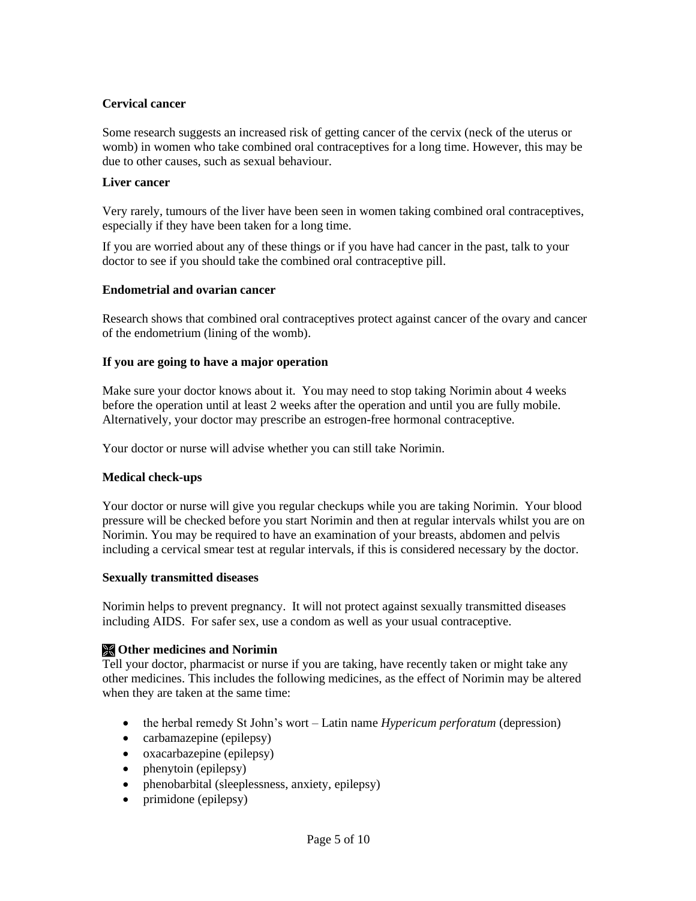# **Cervical cancer**

Some research suggests an increased risk of getting cancer of the cervix (neck of the uterus or womb) in women who take combined oral contraceptives for a long time. However, this may be due to other causes, such as sexual behaviour.

#### **Liver cancer**

Very rarely, tumours of the liver have been seen in women taking combined oral contraceptives, especially if they have been taken for a long time.

If you are worried about any of these things or if you have had cancer in the past, talk to your doctor to see if you should take the combined oral contraceptive pill.

#### **Endometrial and ovarian cancer**

Research shows that combined oral contraceptives protect against cancer of the ovary and cancer of the endometrium (lining of the womb).

#### **If you are going to have a major operation**

Make sure your doctor knows about it. You may need to stop taking Norimin about 4 weeks before the operation until at least 2 weeks after the operation and until you are fully mobile. Alternatively, your doctor may prescribe an estrogen-free hormonal contraceptive.

Your doctor or nurse will advise whether you can still take Norimin.

#### **Medical check-ups**

Your doctor or nurse will give you regular checkups while you are taking Norimin. Your blood pressure will be checked before you start Norimin and then at regular intervals whilst you are on Norimin. You may be required to have an examination of your breasts, abdomen and pelvis including a cervical smear test at regular intervals, if this is considered necessary by the doctor.

#### **Sexually transmitted diseases**

Norimin helps to prevent pregnancy. It will not protect against sexually transmitted diseases including AIDS. For safer sex, use a condom as well as your usual contraceptive.

#### **Other medicines and Norimin**

Tell your doctor, pharmacist or nurse if you are taking, have recently taken or might take any other medicines. This includes the following medicines, as the effect of Norimin may be altered when they are taken at the same time:

- the herbal remedy St John's wort Latin name *Hypericum perforatum* (depression)
- carbamazepine (epilepsy)
- oxacarbazepine (epilepsy)
- phenytoin (epilepsy)
- phenobarbital (sleeplessness, anxiety, epilepsy)
- primidone (epilepsy)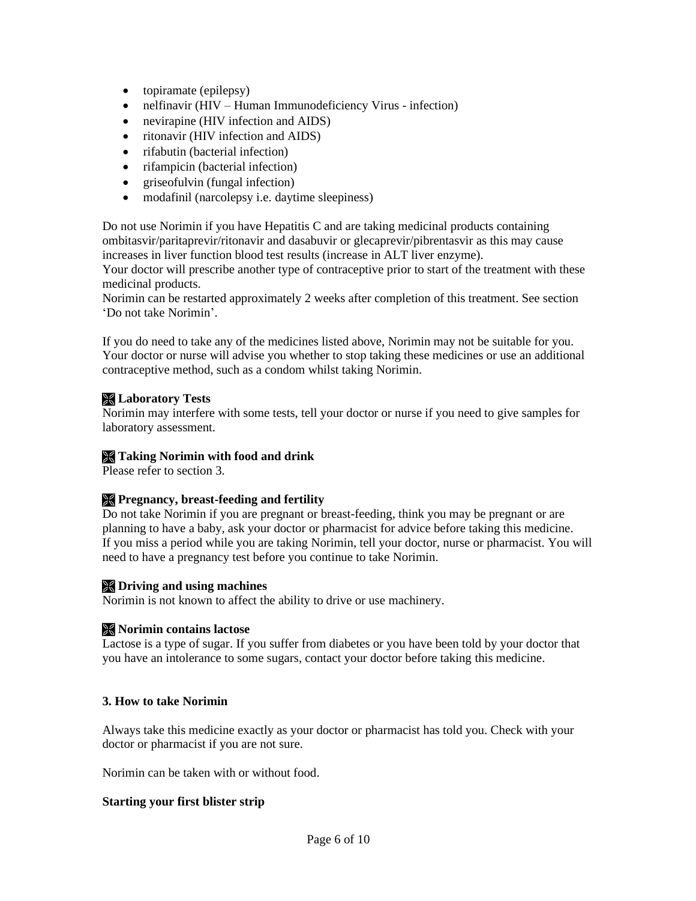- topiramate (epilepsy)
- nelfinavir (HIV Human Immunodeficiency Virus infection)
- nevirapine (HIV infection and AIDS)
- ritonavir (HIV infection and AIDS)
- rifabutin (bacterial infection)
- rifampicin (bacterial infection)
- griseofulvin (fungal infection)
- modafinil (narcolepsy i.e. daytime sleepiness)

Do not use Norimin if you have Hepatitis C and are taking medicinal products containing ombitasvir/paritaprevir/ritonavir and dasabuvir or glecaprevir/pibrentasvir as this may cause increases in liver function blood test results (increase in ALT liver enzyme).

Your doctor will prescribe another type of contraceptive prior to start of the treatment with these medicinal products.

Norimin can be restarted approximately 2 weeks after completion of this treatment. See section 'Do not take Norimin'.

If you do need to take any of the medicines listed above, Norimin may not be suitable for you. Your doctor or nurse will advise you whether to stop taking these medicines or use an additional contraceptive method, such as a condom whilst taking Norimin.

### **Laboratory Tests**

Norimin may interfere with some tests, tell your doctor or nurse if you need to give samples for laboratory assessment.

### **Taking Norimin with food and drink**

Please refer to section 3.

# **Pregnancy, breast-feeding and fertility**

Do not take Norimin if you are pregnant or breast-feeding, think you may be pregnant or are planning to have a baby, ask your doctor or pharmacist for advice before taking this medicine. If you miss a period while you are taking Norimin, tell your doctor, nurse or pharmacist. You will need to have a pregnancy test before you continue to take Norimin.

#### **Driving and using machines**

Norimin is not known to affect the ability to drive or use machinery.

# **Norimin contains lactose**

Lactose is a type of sugar. If you suffer from diabetes or you have been told by your doctor that you have an intolerance to some sugars, contact your doctor before taking this medicine.

#### **3. How to take Norimin**

Always take this medicine exactly as your doctor or pharmacist has told you. Check with your doctor or pharmacist if you are not sure.

Norimin can be taken with or without food.

#### **Starting your first blister strip**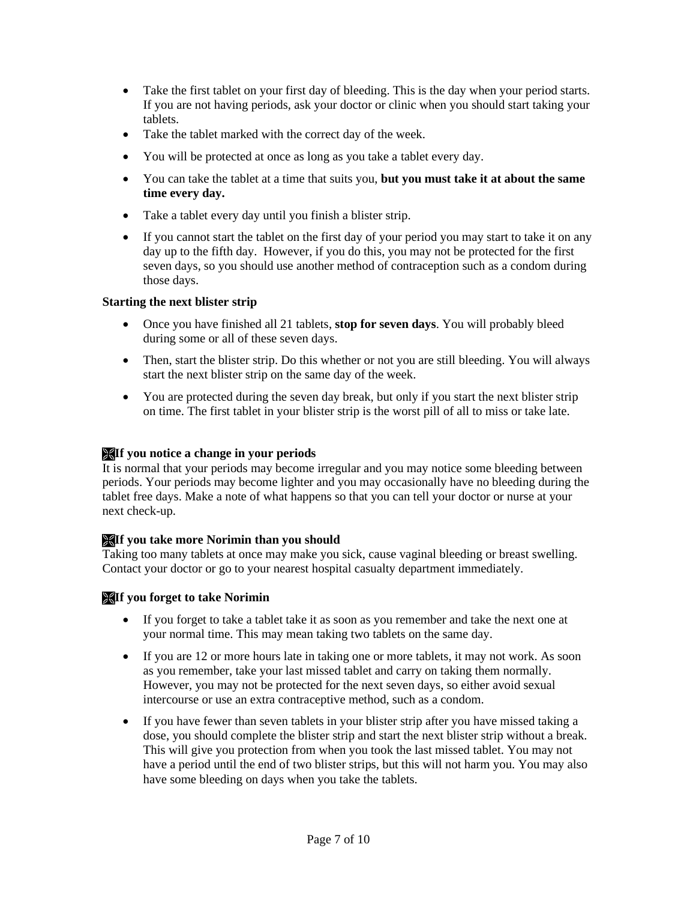- Take the first tablet on your first day of bleeding. This is the day when your period starts. If you are not having periods, ask your doctor or clinic when you should start taking your tablets.
- Take the tablet marked with the correct day of the week.
- You will be protected at once as long as you take a tablet every day.
- You can take the tablet at a time that suits you, **but you must take it at about the same time every day.**
- Take a tablet every day until you finish a blister strip.
- If you cannot start the tablet on the first day of your period you may start to take it on any day up to the fifth day. However, if you do this, you may not be protected for the first seven days, so you should use another method of contraception such as a condom during those days.

# **Starting the next blister strip**

- Once you have finished all 21 tablets, **stop for seven days**. You will probably bleed during some or all of these seven days.
- Then, start the blister strip. Do this whether or not you are still bleeding. You will always start the next blister strip on the same day of the week.
- You are protected during the seven day break, but only if you start the next blister strip on time. The first tablet in your blister strip is the worst pill of all to miss or take late.

# **If you notice a change in your periods**

It is normal that your periods may become irregular and you may notice some bleeding between periods. Your periods may become lighter and you may occasionally have no bleeding during the tablet free days. Make a note of what happens so that you can tell your doctor or nurse at your next check-up.

# **If you take more Norimin than you should**

Taking too many tablets at once may make you sick, cause vaginal bleeding or breast swelling. Contact your doctor or go to your nearest hospital casualty department immediately.

# **If you forget to take Norimin**

- If you forget to take a tablet take it as soon as you remember and take the next one at your normal time. This may mean taking two tablets on the same day.
- If you are 12 or more hours late in taking one or more tablets, it may not work. As soon as you remember, take your last missed tablet and carry on taking them normally. However, you may not be protected for the next seven days, so either avoid sexual intercourse or use an extra contraceptive method, such as a condom.
- If you have fewer than seven tablets in your blister strip after you have missed taking a dose, you should complete the blister strip and start the next blister strip without a break. This will give you protection from when you took the last missed tablet. You may not have a period until the end of two blister strips, but this will not harm you. You may also have some bleeding on days when you take the tablets.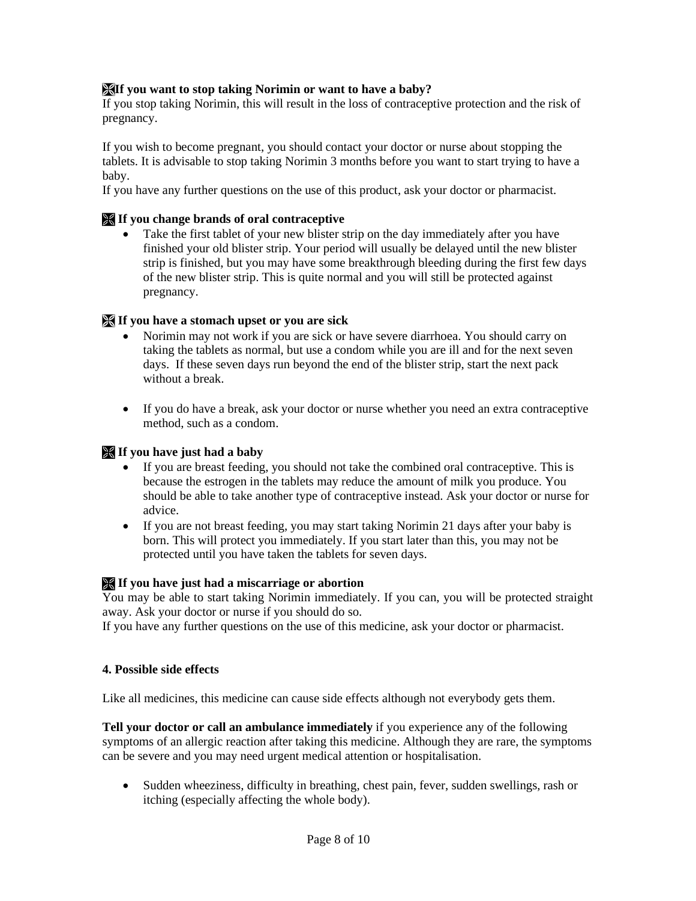# **If you want to stop taking Norimin or want to have a baby?**

If you stop taking Norimin, this will result in the loss of contraceptive protection and the risk of pregnancy.

If you wish to become pregnant, you should contact your doctor or nurse about stopping the tablets. It is advisable to stop taking Norimin 3 months before you want to start trying to have a baby.

If you have any further questions on the use of this product, ask your doctor or pharmacist.

#### **If you change brands of oral contraceptive**

• Take the first tablet of your new blister strip on the day immediately after you have finished your old blister strip. Your period will usually be delayed until the new blister strip is finished, but you may have some breakthrough bleeding during the first few days of the new blister strip. This is quite normal and you will still be protected against pregnancy.

#### **If you have a stomach upset or you are sick**

- Norimin may not work if you are sick or have severe diarrhoea. You should carry on taking the tablets as normal, but use a condom while you are ill and for the next seven days. If these seven days run beyond the end of the blister strip, start the next pack without a break.
- If you do have a break, ask your doctor or nurse whether you need an extra contraceptive method, such as a condom.

### **If you have just had a baby**

- If you are breast feeding, you should not take the combined oral contraceptive. This is because the estrogen in the tablets may reduce the amount of milk you produce. You should be able to take another type of contraceptive instead. Ask your doctor or nurse for advice.
- If you are not breast feeding, you may start taking Norimin 21 days after your baby is born. This will protect you immediately. If you start later than this, you may not be protected until you have taken the tablets for seven days.

#### **If you have just had a miscarriage or abortion**

You may be able to start taking Norimin immediately. If you can, you will be protected straight away. Ask your doctor or nurse if you should do so.

If you have any further questions on the use of this medicine, ask your doctor or pharmacist.

#### **4. Possible side effects**

Like all medicines, this medicine can cause side effects although not everybody gets them.

**Tell your doctor or call an ambulance immediately** if you experience any of the following symptoms of an allergic reaction after taking this medicine. Although they are rare, the symptoms can be severe and you may need urgent medical attention or hospitalisation.

• Sudden wheeziness, difficulty in breathing, chest pain, fever, sudden swellings, rash or itching (especially affecting the whole body).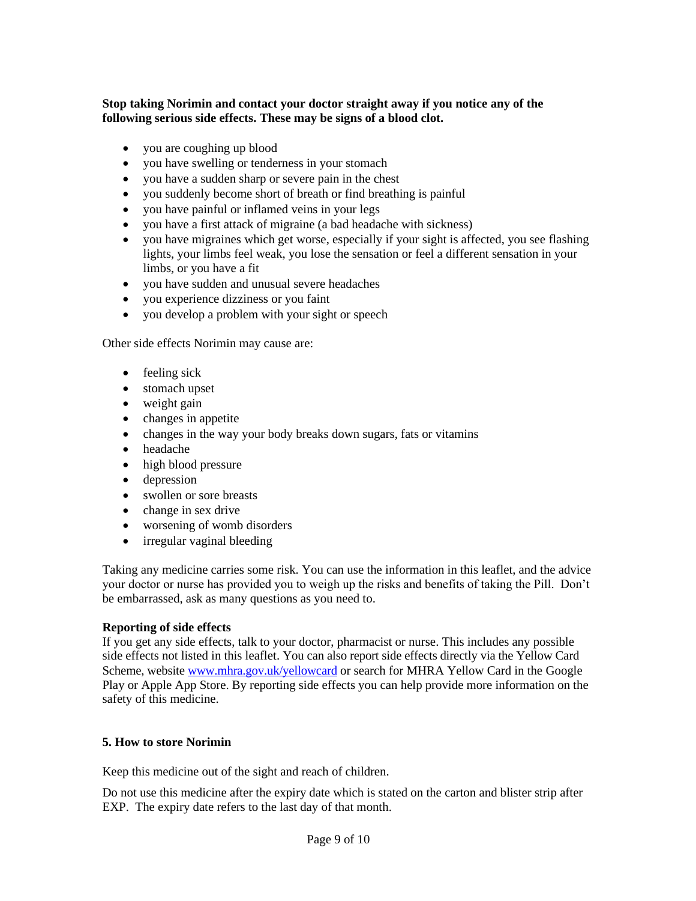### **Stop taking Norimin and contact your doctor straight away if you notice any of the following serious side effects. These may be signs of a blood clot.**

- you are coughing up blood
- you have swelling or tenderness in your stomach
- you have a sudden sharp or severe pain in the chest
- you suddenly become short of breath or find breathing is painful
- you have painful or inflamed veins in your legs
- you have a first attack of migraine (a bad headache with sickness)
- vou have migraines which get worse, especially if your sight is affected, you see flashing lights, your limbs feel weak, you lose the sensation or feel a different sensation in your limbs, or you have a fit
- you have sudden and unusual severe headaches
- you experience dizziness or you faint
- you develop a problem with your sight or speech

Other side effects Norimin may cause are:

- feeling sick
- stomach upset
- weight gain
- changes in appetite
- changes in the way your body breaks down sugars, fats or vitamins
- headache
- high blood pressure
- depression
- swollen or sore breasts
- change in sex drive
- worsening of womb disorders
- irregular vaginal bleeding

Taking any medicine carries some risk. You can use the information in this leaflet, and the advice your doctor or nurse has provided you to weigh up the risks and benefits of taking the Pill. Don't be embarrassed, ask as many questions as you need to.

#### **Reporting of side effects**

If you get any side effects, talk to your doctor, pharmacist or nurse. This includes any possible side effects not listed in this leaflet. You can also report side effects directly via the Yellow Card Scheme, website [www.mhra.gov.uk/yellowcard](http://www.mhra.gov.uk/yellowcard) or search for MHRA Yellow Card in the Google Play or Apple App Store. By reporting side effects you can help provide more information on the safety of this medicine.

#### **5. How to store Norimin**

Keep this medicine out of the sight and reach of children.

Do not use this medicine after the expiry date which is stated on the carton and blister strip after EXP. The expiry date refers to the last day of that month.